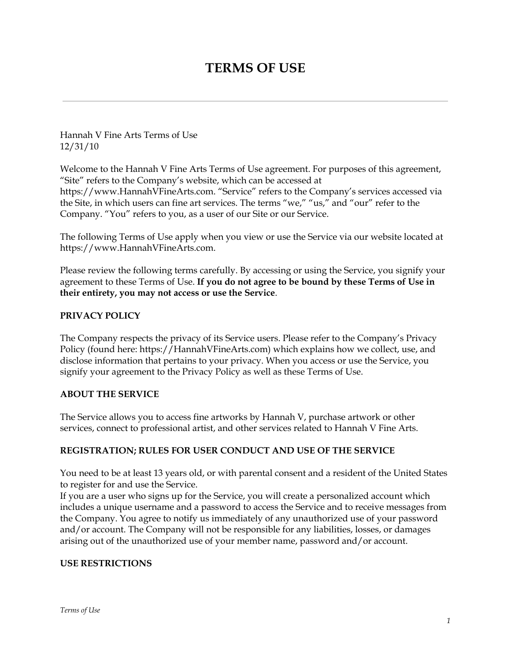# **TERMS OF USE**

Hannah V Fine Arts Terms of Use 12/31/10

Welcome to the Hannah V Fine Arts Terms of Use agreement. For purposes of this agreement, "Site" refers to the Company's website, which can be accessed at https://www.HannahVFineArts.com. "Service" refers to the Company's services accessed via the Site, in which users can fine art services. The terms "we," "us," and "our" refer to the Company. "You" refers to you, as a user of our Site or our Service.

The following Terms of Use apply when you view or use the Service via our website located at https://www.HannahVFineArts.com.

Please review the following terms carefully. By accessing or using the Service, you signify your agreement to these Terms of Use. **If you do not agree to be bound by these Terms of Use in their entirety, you may not access or use the Service**.

## **PRIVACY POLICY**

The Company respects the privacy of its Service users. Please refer to the Company's Privacy Policy (found here: https://HannahVFineArts.com) which explains how we collect, use, and disclose information that pertains to your privacy. When you access or use the Service, you signify your agreement to the Privacy Policy as well as these Terms of Use.

## **ABOUT THE SERVICE**

The Service allows you to access fine artworks by Hannah V, purchase artwork or other services, connect to professional artist, and other services related to Hannah V Fine Arts.

## **REGISTRATION; RULES FOR USER CONDUCT AND USE OF THE SERVICE**

You need to be at least 13 years old, or with parental consent and a resident of the United States to register for and use the Service.

If you are a user who signs up for the Service, you will create a personalized account which includes a unique username and a password to access the Service and to receive messages from the Company. You agree to notify us immediately of any unauthorized use of your password and/or account. The Company will not be responsible for any liabilities, losses, or damages arising out of the unauthorized use of your member name, password and/or account.

## **USE RESTRICTIONS**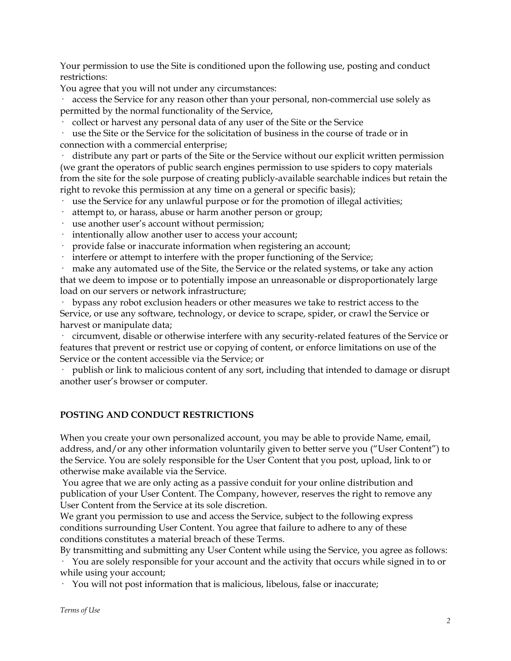Your permission to use the Site is conditioned upon the following use, posting and conduct restrictions:

You agree that you will not under any circumstances:

access the Service for any reason other than your personal, non-commercial use solely as permitted by the normal functionality of the Service,

· collect or harvest any personal data of any user of the Site or the Service

· use the Site or the Service for the solicitation of business in the course of trade or in connection with a commercial enterprise;

distribute any part or parts of the Site or the Service without our explicit written permission (we grant the operators of public search engines permission to use spiders to copy materials from the site for the sole purpose of creating publicly-available searchable indices but retain the right to revoke this permission at any time on a general or specific basis);

· use the Service for any unlawful purpose or for the promotion of illegal activities;

- attempt to, or harass, abuse or harm another person or group;
- · use another user's account without permission;
- · intentionally allow another user to access your account;
- provide false or inaccurate information when registering an account;
- · interfere or attempt to interfere with the proper functioning of the Service;

make any automated use of the Site, the Service or the related systems, or take any action that we deem to impose or to potentially impose an unreasonable or disproportionately large load on our servers or network infrastructure;

· bypass any robot exclusion headers or other measures we take to restrict access to the Service, or use any software, technology, or device to scrape, spider, or crawl the Service or harvest or manipulate data;

· circumvent, disable or otherwise interfere with any security-related features of the Service or features that prevent or restrict use or copying of content, or enforce limitations on use of the Service or the content accessible via the Service; or

· publish or link to malicious content of any sort, including that intended to damage or disrupt another user's browser or computer.

## **POSTING AND CONDUCT RESTRICTIONS**

When you create your own personalized account, you may be able to provide Name, email, address, and/or any other information voluntarily given to better serve you ("User Content") to the Service. You are solely responsible for the User Content that you post, upload, link to or otherwise make available via the Service.

You agree that we are only acting as a passive conduit for your online distribution and publication of your User Content. The Company, however, reserves the right to remove any User Content from the Service at its sole discretion.

We grant you permission to use and access the Service, subject to the following express conditions surrounding User Content. You agree that failure to adhere to any of these conditions constitutes a material breach of these Terms.

By transmitting and submitting any User Content while using the Service, you agree as follows: · You are solely responsible for your account and the activity that occurs while signed in to or while using your account;

· You will not post information that is malicious, libelous, false or inaccurate;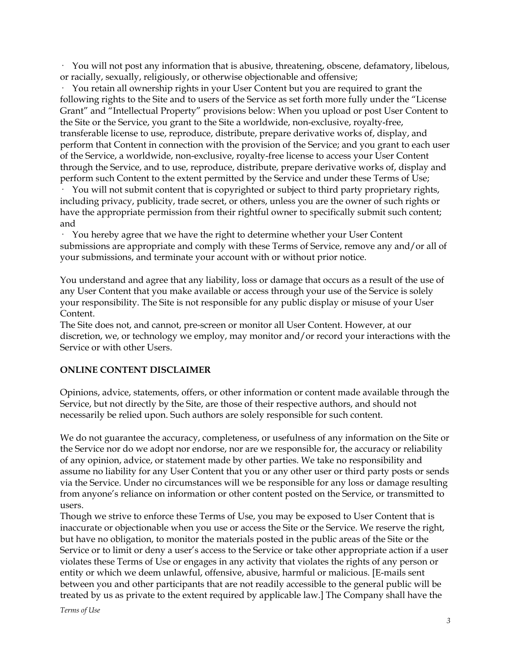· You will not post any information that is abusive, threatening, obscene, defamatory, libelous, or racially, sexually, religiously, or otherwise objectionable and offensive;

· You retain all ownership rights in your User Content but you are required to grant the following rights to the Site and to users of the Service as set forth more fully under the "License Grant" and "Intellectual Property" provisions below: When you upload or post User Content to the Site or the Service, you grant to the Site a worldwide, non-exclusive, royalty-free, transferable license to use, reproduce, distribute, prepare derivative works of, display, and perform that Content in connection with the provision of the Service; and you grant to each user of the Service, a worldwide, non-exclusive, royalty-free license to access your User Content through the Service, and to use, reproduce, distribute, prepare derivative works of, display and perform such Content to the extent permitted by the Service and under these Terms of Use;

· You will not submit content that is copyrighted or subject to third party proprietary rights, including privacy, publicity, trade secret, or others, unless you are the owner of such rights or have the appropriate permission from their rightful owner to specifically submit such content; and

· You hereby agree that we have the right to determine whether your User Content submissions are appropriate and comply with these Terms of Service, remove any and/or all of your submissions, and terminate your account with or without prior notice.

You understand and agree that any liability, loss or damage that occurs as a result of the use of any User Content that you make available or access through your use of the Service is solely your responsibility. The Site is not responsible for any public display or misuse of your User Content.

The Site does not, and cannot, pre-screen or monitor all User Content. However, at our discretion, we, or technology we employ, may monitor and/or record your interactions with the Service or with other Users.

## **ONLINE CONTENT DISCLAIMER**

Opinions, advice, statements, offers, or other information or content made available through the Service, but not directly by the Site, are those of their respective authors, and should not necessarily be relied upon. Such authors are solely responsible for such content.

We do not guarantee the accuracy, completeness, or usefulness of any information on the Site or the Service nor do we adopt nor endorse, nor are we responsible for, the accuracy or reliability of any opinion, advice, or statement made by other parties. We take no responsibility and assume no liability for any User Content that you or any other user or third party posts or sends via the Service. Under no circumstances will we be responsible for any loss or damage resulting from anyone's reliance on information or other content posted on the Service, or transmitted to users.

Though we strive to enforce these Terms of Use, you may be exposed to User Content that is inaccurate or objectionable when you use or access the Site or the Service. We reserve the right, but have no obligation, to monitor the materials posted in the public areas of the Site or the Service or to limit or deny a user's access to the Service or take other appropriate action if a user violates these Terms of Use or engages in any activity that violates the rights of any person or entity or which we deem unlawful, offensive, abusive, harmful or malicious. [E-mails sent between you and other participants that are not readily accessible to the general public will be treated by us as private to the extent required by applicable law.] The Company shall have the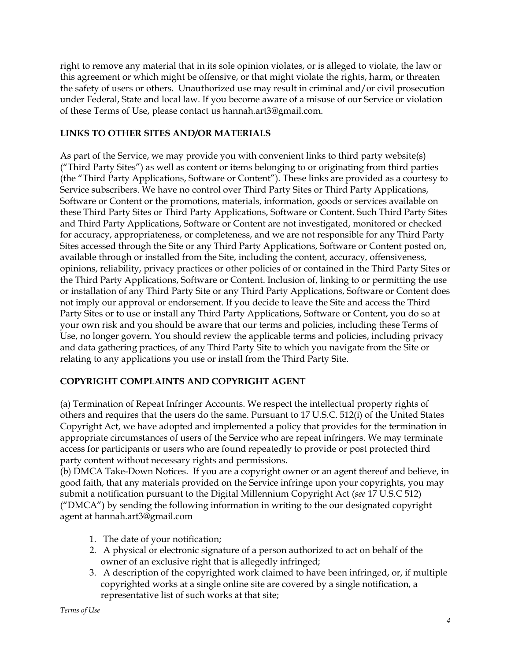right to remove any material that in its sole opinion violates, or is alleged to violate, the law or this agreement or which might be offensive, or that might violate the rights, harm, or threaten the safety of users or others. Unauthorized use may result in criminal and/or civil prosecution under Federal, State and local law. If you become aware of a misuse of our Service or violation of these Terms of Use, please contact us hannah.art3@gmail.com.

## **LINKS TO OTHER SITES AND/OR MATERIALS**

As part of the Service, we may provide you with convenient links to third party website(s) ("Third Party Sites") as well as content or items belonging to or originating from third parties (the "Third Party Applications, Software or Content"). These links are provided as a courtesy to Service subscribers. We have no control over Third Party Sites or Third Party Applications, Software or Content or the promotions, materials, information, goods or services available on these Third Party Sites or Third Party Applications, Software or Content. Such Third Party Sites and Third Party Applications, Software or Content are not investigated, monitored or checked for accuracy, appropriateness, or completeness, and we are not responsible for any Third Party Sites accessed through the Site or any Third Party Applications, Software or Content posted on, available through or installed from the Site, including the content, accuracy, offensiveness, opinions, reliability, privacy practices or other policies of or contained in the Third Party Sites or the Third Party Applications, Software or Content. Inclusion of, linking to or permitting the use or installation of any Third Party Site or any Third Party Applications, Software or Content does not imply our approval or endorsement. If you decide to leave the Site and access the Third Party Sites or to use or install any Third Party Applications, Software or Content, you do so at your own risk and you should be aware that our terms and policies, including these Terms of Use, no longer govern. You should review the applicable terms and policies, including privacy and data gathering practices, of any Third Party Site to which you navigate from the Site or relating to any applications you use or install from the Third Party Site.

## **COPYRIGHT COMPLAINTS AND COPYRIGHT AGENT**

(a) Termination of Repeat Infringer Accounts. We respect the intellectual property rights of others and requires that the users do the same. Pursuant to 17 U.S.C. 512(i) of the United States Copyright Act, we have adopted and implemented a policy that provides for the termination in appropriate circumstances of users of the Service who are repeat infringers. We may terminate access for participants or users who are found repeatedly to provide or post protected third party content without necessary rights and permissions.

(b) DMCA Take-Down Notices. If you are a copyright owner or an agent thereof and believe, in good faith, that any materials provided on the Service infringe upon your copyrights, you may submit a notification pursuant to the Digital Millennium Copyright Act (*see* 17 U.S.C 512) ("DMCA") by sending the following information in writing to the our designated copyright agent at hannah.art3@gmail.com

- 1. The date of your notification;
- 2. A physical or electronic signature of a person authorized to act on behalf of the owner of an exclusive right that is allegedly infringed;
- 3. A description of the copyrighted work claimed to have been infringed, or, if multiple copyrighted works at a single online site are covered by a single notification, a representative list of such works at that site;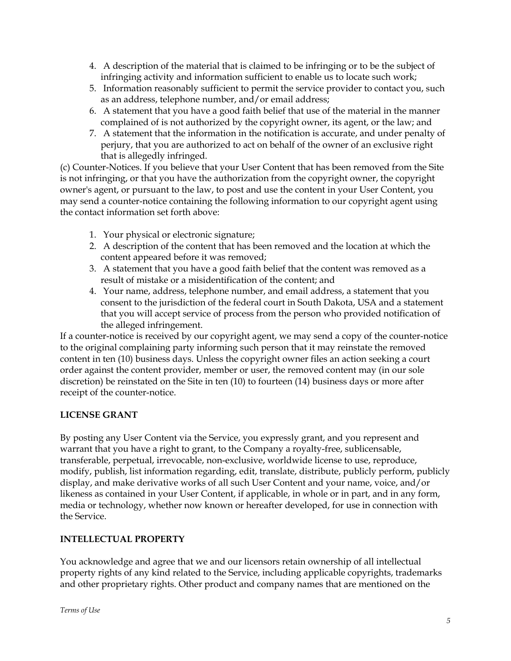- 4. A description of the material that is claimed to be infringing or to be the subject of infringing activity and information sufficient to enable us to locate such work;
- 5. Information reasonably sufficient to permit the service provider to contact you, such as an address, telephone number, and/or email address;
- 6. A statement that you have a good faith belief that use of the material in the manner complained of is not authorized by the copyright owner, its agent, or the law; and
- 7. A statement that the information in the notification is accurate, and under penalty of perjury, that you are authorized to act on behalf of the owner of an exclusive right that is allegedly infringed.

(c) Counter-Notices. If you believe that your User Content that has been removed from the Site is not infringing, or that you have the authorization from the copyright owner, the copyright owner's agent, or pursuant to the law, to post and use the content in your User Content, you may send a counter-notice containing the following information to our copyright agent using the contact information set forth above:

- 1. Your physical or electronic signature;
- 2. A description of the content that has been removed and the location at which the content appeared before it was removed;
- 3. A statement that you have a good faith belief that the content was removed as a result of mistake or a misidentification of the content; and
- 4. Your name, address, telephone number, and email address, a statement that you consent to the jurisdiction of the federal court in South Dakota, USA and a statement that you will accept service of process from the person who provided notification of the alleged infringement.

If a counter-notice is received by our copyright agent, we may send a copy of the counter-notice to the original complaining party informing such person that it may reinstate the removed content in ten (10) business days. Unless the copyright owner files an action seeking a court order against the content provider, member or user, the removed content may (in our sole discretion) be reinstated on the Site in ten (10) to fourteen (14) business days or more after receipt of the counter-notice.

## **LICENSE GRANT**

By posting any User Content via the Service, you expressly grant, and you represent and warrant that you have a right to grant, to the Company a royalty-free, sublicensable, transferable, perpetual, irrevocable, non-exclusive, worldwide license to use, reproduce, modify, publish, list information regarding, edit, translate, distribute, publicly perform, publicly display, and make derivative works of all such User Content and your name, voice, and/or likeness as contained in your User Content, if applicable, in whole or in part, and in any form, media or technology, whether now known or hereafter developed, for use in connection with the Service.

## **INTELLECTUAL PROPERTY**

You acknowledge and agree that we and our licensors retain ownership of all intellectual property rights of any kind related to the Service, including applicable copyrights, trademarks and other proprietary rights. Other product and company names that are mentioned on the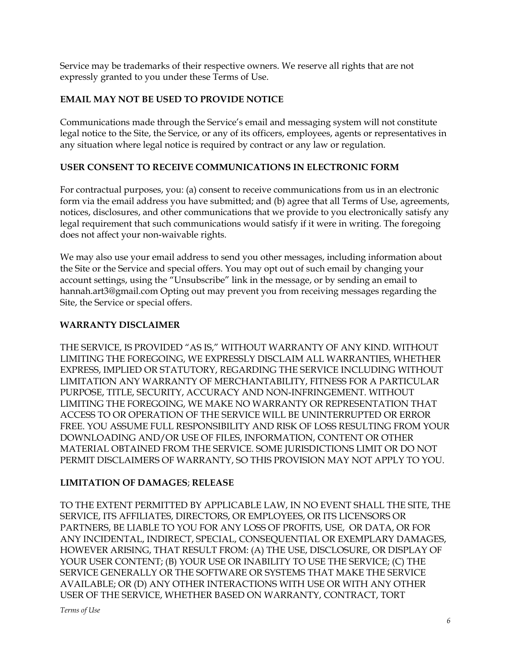Service may be trademarks of their respective owners. We reserve all rights that are not expressly granted to you under these Terms of Use.

## **EMAIL MAY NOT BE USED TO PROVIDE NOTICE**

Communications made through the Service's email and messaging system will not constitute legal notice to the Site, the Service, or any of its officers, employees, agents or representatives in any situation where legal notice is required by contract or any law or regulation.

## **USER CONSENT TO RECEIVE COMMUNICATIONS IN ELECTRONIC FORM**

For contractual purposes, you: (a) consent to receive communications from us in an electronic form via the email address you have submitted; and (b) agree that all Terms of Use, agreements, notices, disclosures, and other communications that we provide to you electronically satisfy any legal requirement that such communications would satisfy if it were in writing. The foregoing does not affect your non-waivable rights.

We may also use your email address to send you other messages, including information about the Site or the Service and special offers. You may opt out of such email by changing your account settings, using the "Unsubscribe" link in the message, or by sending an email to hannah.art3@gmail.com Opting out may prevent you from receiving messages regarding the Site, the Service or special offers.

## **WARRANTY DISCLAIMER**

THE SERVICE, IS PROVIDED "AS IS," WITHOUT WARRANTY OF ANY KIND. WITHOUT LIMITING THE FOREGOING, WE EXPRESSLY DISCLAIM ALL WARRANTIES, WHETHER EXPRESS, IMPLIED OR STATUTORY, REGARDING THE SERVICE INCLUDING WITHOUT LIMITATION ANY WARRANTY OF MERCHANTABILITY, FITNESS FOR A PARTICULAR PURPOSE, TITLE, SECURITY, ACCURACY AND NON-INFRINGEMENT. WITHOUT LIMITING THE FOREGOING, WE MAKE NO WARRANTY OR REPRESENTATION THAT ACCESS TO OR OPERATION OF THE SERVICE WILL BE UNINTERRUPTED OR ERROR FREE. YOU ASSUME FULL RESPONSIBILITY AND RISK OF LOSS RESULTING FROM YOUR DOWNLOADING AND/OR USE OF FILES, INFORMATION, CONTENT OR OTHER MATERIAL OBTAINED FROM THE SERVICE. SOME JURISDICTIONS LIMIT OR DO NOT PERMIT DISCLAIMERS OF WARRANTY, SO THIS PROVISION MAY NOT APPLY TO YOU.

## **LIMITATION OF DAMAGES**; **RELEASE**

TO THE EXTENT PERMITTED BY APPLICABLE LAW, IN NO EVENT SHALL THE SITE, THE SERVICE, ITS AFFILIATES, DIRECTORS, OR EMPLOYEES, OR ITS LICENSORS OR PARTNERS, BE LIABLE TO YOU FOR ANY LOSS OF PROFITS, USE, OR DATA, OR FOR ANY INCIDENTAL, INDIRECT, SPECIAL, CONSEQUENTIAL OR EXEMPLARY DAMAGES, HOWEVER ARISING, THAT RESULT FROM: (A) THE USE, DISCLOSURE, OR DISPLAY OF YOUR USER CONTENT; (B) YOUR USE OR INABILITY TO USE THE SERVICE; (C) THE SERVICE GENERALLY OR THE SOFTWARE OR SYSTEMS THAT MAKE THE SERVICE AVAILABLE; OR (D) ANY OTHER INTERACTIONS WITH USE OR WITH ANY OTHER USER OF THE SERVICE, WHETHER BASED ON WARRANTY, CONTRACT, TORT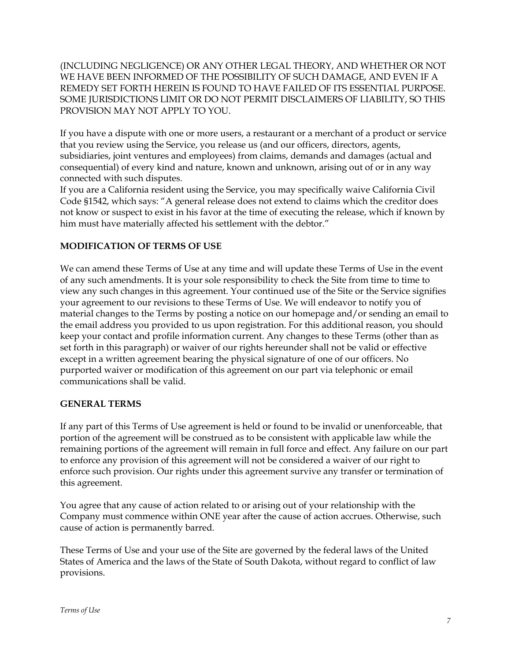(INCLUDING NEGLIGENCE) OR ANY OTHER LEGAL THEORY, AND WHETHER OR NOT WE HAVE BEEN INFORMED OF THE POSSIBILITY OF SUCH DAMAGE, AND EVEN IF A REMEDY SET FORTH HEREIN IS FOUND TO HAVE FAILED OF ITS ESSENTIAL PURPOSE. SOME JURISDICTIONS LIMIT OR DO NOT PERMIT DISCLAIMERS OF LIABILITY, SO THIS PROVISION MAY NOT APPLY TO YOU.

If you have a dispute with one or more users, a restaurant or a merchant of a product or service that you review using the Service, you release us (and our officers, directors, agents, subsidiaries, joint ventures and employees) from claims, demands and damages (actual and consequential) of every kind and nature, known and unknown, arising out of or in any way connected with such disputes.

If you are a California resident using the Service, you may specifically waive California Civil Code §1542, which says: "A general release does not extend to claims which the creditor does not know or suspect to exist in his favor at the time of executing the release, which if known by him must have materially affected his settlement with the debtor."

## **MODIFICATION OF TERMS OF USE**

We can amend these Terms of Use at any time and will update these Terms of Use in the event of any such amendments. It is your sole responsibility to check the Site from time to time to view any such changes in this agreement. Your continued use of the Site or the Service signifies your agreement to our revisions to these Terms of Use. We will endeavor to notify you of material changes to the Terms by posting a notice on our homepage and/or sending an email to the email address you provided to us upon registration. For this additional reason, you should keep your contact and profile information current. Any changes to these Terms (other than as set forth in this paragraph) or waiver of our rights hereunder shall not be valid or effective except in a written agreement bearing the physical signature of one of our officers. No purported waiver or modification of this agreement on our part via telephonic or email communications shall be valid.

#### **GENERAL TERMS**

If any part of this Terms of Use agreement is held or found to be invalid or unenforceable, that portion of the agreement will be construed as to be consistent with applicable law while the remaining portions of the agreement will remain in full force and effect. Any failure on our part to enforce any provision of this agreement will not be considered a waiver of our right to enforce such provision. Our rights under this agreement survive any transfer or termination of this agreement.

You agree that any cause of action related to or arising out of your relationship with the Company must commence within ONE year after the cause of action accrues. Otherwise, such cause of action is permanently barred.

These Terms of Use and your use of the Site are governed by the federal laws of the United States of America and the laws of the State of South Dakota, without regard to conflict of law provisions.